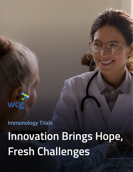# Immunology Trials **Innovation Brings Hope, Fresh Challenges**

 $\Theta$ 

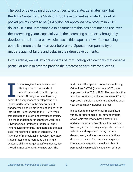The cost of developing drugs continues to escalate. Estimates vary, but the Tufts Center for the Study of Drug Development estimated the out of pocket pre-tax costs to be \$1.4 billion per approved new product in 2013 dollars<sup>1</sup>. It is not unreasonable to assume that this has continued to rise over the intervening years, especially with the increasing complexity brought by developments in the areas we discuss in this paper. In view of these rising costs it is more crucial than ever before that Sponsor companies try to mitigate against failure and delay in their drug developments.

In this article, we will explore aspects of immunology clinical trials that deserve particular focus in order to provide the greatest opportunity for success.

mmunological therapies are now offering hope to thousands of patients across diverse therapeutic areas. Although immunology may seem like a very modern development, it is, in fact, partly rooted in the discoveries of phagocytosis and neutralizing antibodies in the late 1800's. Fast-forward to the 1960's when transplantation biology and immunochemistry laid the foundation for much future work, and B lymphocytes (antibody producers) and T lymphocytes (immunity regulators and effector cells) moved to the focus of attention. The invention of monoclonal antibodies, laboratorymade proteins that reproduce the immune system's ability to target specific antigens, has moved immunotherapy into a new era². The

first clinical therapeutic monoclonal antibody, Orthoclone OKT3® (muromonab-CD3), was approved by the FDA in 1986. The growth in this area has continued, and in recent years FDA has approved multiple monoclonal antibodies each year across many therapeutic areas.

In addition to the use of small molecules, a variety of factors make the immune system a favorable target for a broad array of cell and gene therapy interventions. For example, lymphocytes have a unique capacity for clonal selection and expansion during immune development, and in response to infectious disease or cancer. This means that genetic interventions targeting a small number of parent cells can result in expansion of large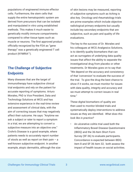populations of engineered immune effector cells. Furthermore, the stem cells that supply the entire hematopoietic system are derived from precursors that can be isolated and manipulated in vitro using established methods. This makes it much easier to genetically modify immune compartments compared to other tissue types such as muscle or neurons. The first approved product officially recognized by the FDA as "gene therapy" was a genetically engineered T cell product (KYMRIA™).

# **The Challenge of Subjective Endpoints**

Many diseases that are the target of immunotherapy have subjective clinical trial endpoints and rely on the patient for accurate reporting of symptoms. Arturo Morales, PhD is Vice President, Data and Technology Solutions at WCG and has extensive experience in the real-time review and assessment of clinical data, with the aim of correcting issues that may negatively affect their outcome. He says: "Anytime we ask a subject or rater to report a symptom in a trial, we are attempting to convert a subjective measure into an objective one." Crohn's Disease is a good example, where patients needs to accurately report number of stools as well as report on their pain  $-$  a well-known subjective endpoint. In another example, atopic dermatitis, although the size of skin lesions may be measured, reporting of subjective symptoms such as itching is also key. Oncology and rheumatology trials are prime examples which include objective radiological primary endpoints but usually include key secondary endpoints that are subjective, such as pain and quality of life evaluations.

The key to the success of Dr. Morales and his colleagues at WCG Analgesics Solutions, is to identify quality biomarkers that can act as surrogates of underlying data quality issues that affect the ability to separate the investigational drug from placebo or other treatments. Dr Morales goes on to say that: "We depend on the accuracy and consistency of that 'conversion' to evaluate the success of the trial. To give the drug the best chance to show if it works, we must monitor for issues with data quality, integrity and accuracy and we must attempt to correct issues in real time."

These digital biomarkers of quality are then used to monitor blinded trials and systematically deploy interventions to address issues as they are identified. *What does this look like in practice?*

• An ulcerative colitis trial used both the Inflammatory Bowel Disease Questionnaire (IBDQ) and the 36-Item Short Form Survey (SF-36) to evaluate participants. Concordance is expected between IBDQ item 8 and SF-36 item 32; both assess the impact of health issues on social activities.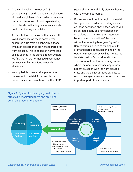- At the subject level, 16 out of 228 participants (10 on drug and six on placebo) showed a high level of discordance between these two items and did not separate drug from placebo validating this as an accurate predictor of assay sensitivity.
- At the site level, we showed that sites with low discordance on these same items separated drug from placebo, while those with high discordance did *not* separate drug from placebo. This is based on normalized scales aligned in the same direction, where we find that >30% normalized discordance between similar questions is usually significant.
- We applied this same principle to other measures in the trial, for example the concordance between item 1 on the SF-36

(general health) and daily diary well-being, with the same outcome.

If sites are monitored throughout the trial for signs of discordance in ratings such as those described above, then issues will be detected early and remediation can take place that improve trial outcomes by improving the quality of the data without introducing bias (see Figure 1). Remediation includes re-training of site staff and participants, depending on the outcome measures, as well as monitoring for data quality. Discussion with the sponsor about the trial screening criteria, where the goal is to balance appropriate patient selection with the right disease state and the ability of those patients to report their symptoms accurately, is also an important part of this process.



*Challenges for Immunology Clinical Trials* 4 www.wcgclinical.com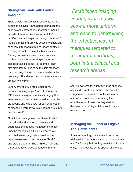# **Strengthen Trials with Central Imaging**

Trials should have objective endpoints, where possible; in several immunological indications, such as oncology and rheumatology, imaging provides that objective assessment. ISOcertified central imaging services, such as WCG Intrinsic Imagining, provide access to a network of over 500 fellowship-trained, board-certified radiologists in the required sub-specialties. Getting the best advice on the appropriate methodologies for assessing changes in disease state is critical. For example, plain film radiography used to be the gold standard for assessing changes in rheumatoid arthritis, however, MRI and ultrasound now have a much greater role to play.

John Clement, MD a radiologist at WCG Intrinsic Imaging, says, "Both ultrasound and MRI have made great strides in imaging the anatomic changes in rheumatoid arthritis. Both ultrasound and MRI allow for earlier detection of disease, before irreversible damage to joints has occurred."

"As clinical management continues to shift toward earlier detection of disease and aggressive therapeutic management, these imaging modalities will play a greater role in both disease diagnosis as well as the rapid assessment of response to DMARDs and biologic agents. The OMERACT MR and Ultrasound task forces continue to refine

*"Established imaging scoring systems will allow a more uniform approach to determining the effectiveness of therapies targeted to rheumatoid arthritis, both in the clinical and research arenas."*

scoring systems for quantifying the changes seen in rheumatoid arthritis. Established imaging scoring systems will allow a more uniform approach to determining the effectiveness of therapies targeted to rheumatoid arthritis, both in the clinical and research arenas."³

## **Managing the Funnel of Eligible Trial Participants**

Some immunology trials are unique in that trial participants whose disease is stable must wait for flare-up before they are eligible for trial entry. This presents some special challenges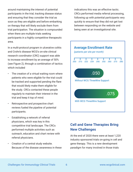around maintaining the interest of potential participants in the trial, tracking disease status and ensuring that they consider the trial as soon as they are eligible and before embarking on therapy that will likely exclude them from trial participation. The situation is compounded when there are multiple trials seeking participants in a highly competitive therapeutic area.

In a multi-protocol program in ulcerative colitis and Crohn's disease WCG's on-site clinical research coordinator (CRC) support was able to increase enrollment by an average of 50% (see Figure 2), through a combination of tactics which included

- The creation of a virtual waiting room where patients who were eligible for the trial could be tracked and supported pending the flare that would likely make them eligible for the study. CRCs contacted these people regularly to maintain their interest in the trial and keep it top of mind.
- Retrospective and prospective chart reviews fueled the pipeline of potential participants.
- Establishing a network of referral physicians, which was key in this competitive trial landscape. The CRCs performed multiple activities such as outreach, education and chart review with referral physicians.
- Creation of a central study website. Because of the disease awareness in these

indications this was an effective tactic. CRCs performed media referral processing, following up with potential participants very quickly to ensure that they did not get lost between responding on the website and being seen at an investigational site.



# **Cell and Gene Therapies Bring New Challenges**

At the end of 2020 there were at least 1,220 industry sponsored trials on-going in cell and gene therapy. This is a new development paradigm for many involved in those trials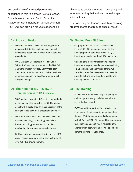and so the use of a trusted partner with experience in this this area is key to success. Our in-house expert and Senior Scientific Advisor for gene therapy, Dr Daniel Kavanagh PhD, RAC, can draw on his vast experience in

1) Protocol Design 3

- With any relatively new scientific area, protocol design and statistical decisions are especially challenging because of the lack of prior data and precedents.
- WCG Statistics Collaborative is led by Janet Wittes, PhD, who was a member of the FDA Cell and Gene Therapy Advisory Committee from 2015 to 2019. WCG Statistics Collaborative have experience supporting over 35 protocols in cell and gene therapy.

#### 2) The Need for IBC Review in  $4)$ Conjunction with IRB Review

- WCG has been providing IBC services to hundreds of clinical trial sites since the year 2000 and can assist with expert advice on the applicability of the NIH guidelines, document preparation and review.
- WCG IBC has extensive experience which includes vaccines, oncology immunology, and cellular immuno-oncology, as well as clinical trials modulating the immune response in the eye.
- Dr. Kavanagh has deep expertise in the use of IBC review having assisted with the administration of over 400 IBCs around the world.

this area to assist sponsors in designing and operationalizing their cell and gene therapy clinical trials.

The following are four areas of this emerging treatment area that require special focus:

#### Finding Best-Fit Sites

- Our proprietary data base provides a view to over 95% of industry sponsored studies and a proprietary data base of over 220,000 investigators and more than 3,100 institutions.
- Cell and gene therapy trials require specific investigator expertise and experience and using out Site Intelligence analytics platform, we are able to identify investigators who have the patients, cell and gene expertise, quality, and capacity to take on your trial.

#### 4) Site Training

- Many sites are interested in participating in cell and gene therapy trials but not all are accredited or trained.
- FACT accreditation (http://factwebsite.org) is necessary for sites participating in cellular therapy. WCG has deep-rooted relationships with 209 of the 221 FACT accredited institutions. Our experts can assist you in navigating the accreditation pathway and provide specific ondemand training for your sites.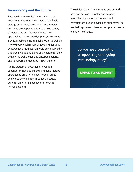## **Immunology and the Future**

Because immunological mechanisms play important roles in many aspects of the basic biology of disease, immunological therapies are being developed to address a wide variety of indications and disease states. These approaches may engage lymphocytes such as T cells, B cells and Natural Killer cells, as well as myeloid cells such macrophages and dendritic cells. Genetic modification tools being applied in this area include traditional viral vectors for gene delivery, as well as gene editing, base editing, and nanoparticle-mediated mRNA transfer.

As the breadth of potential intervention expands, immunological cell and gene therapy approaches are offering new hope in areas as diverse as oncology, infectious disease, autoimmunity, and diseases of the central nervous system.

The clinical trials in this exciting and groundbreaking area are complex and present particular challenges to sponsors and investigators. Expert advice and support will be needed to give each therapy the optimal chance to show its efficacy.

> Do you need support for an upcoming or ongoing immunology study?

**[SPEAK TO AN EXPERT](mailto:info@wcgclinical.com?cc=dtristao@wcgclinical.acom&subject=Emerging%20Biopharma%20Trial%20Solutions%20Inquiry)**